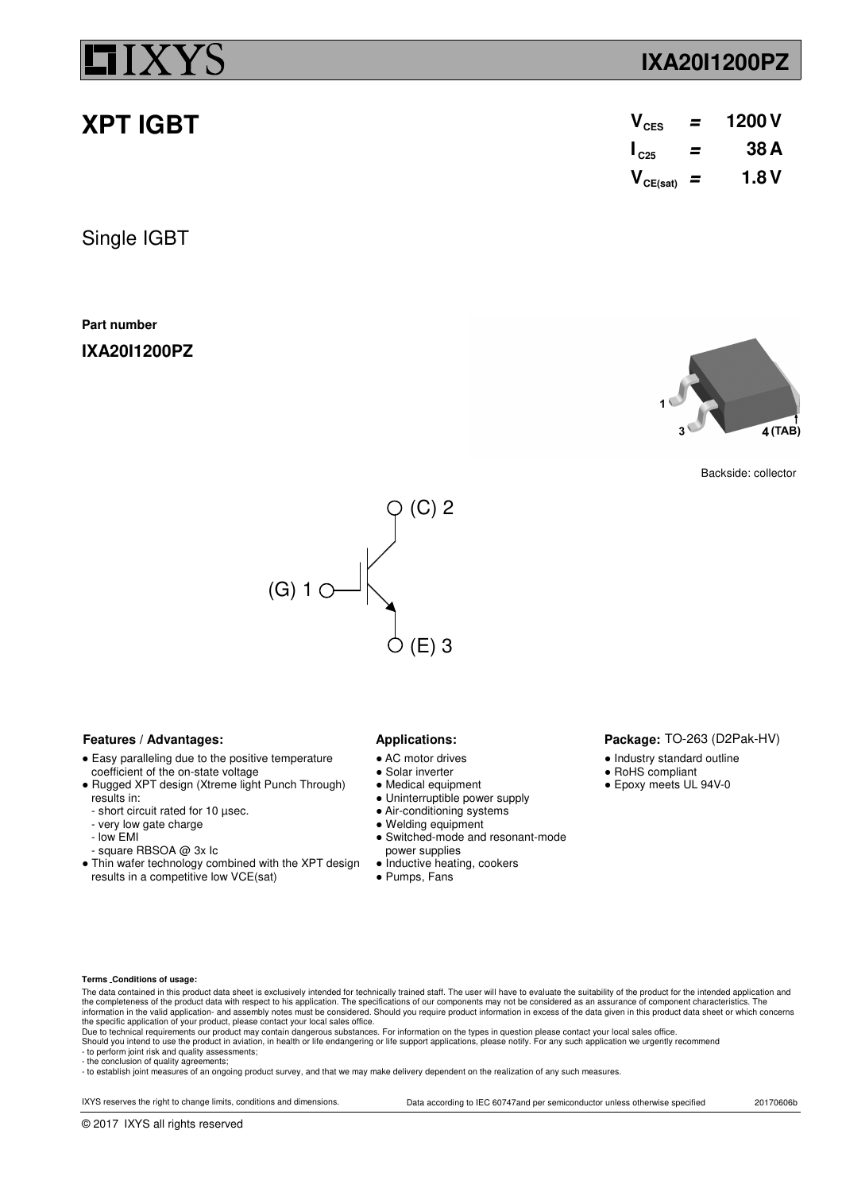# **XPT IGBT**

Single IGBT

**Part number**

**IXA20I1200PZ**

## **Features / Advantages:** Applications:

- AC motor drives
- Solar inverter
- Medical equipment
- Uninterruptible power supply
- Air-conditioning systems
- Welding equipment
- Switched-mode and resonant-mode power supplies
- Inductive heating, cookers
- Pumps, Fans

## ● Industry standard outline

- RoHS compliant
- 

**Terms Conditions of usage:**

results in:

- low EMI

The data contained in this product data sheet is exclusively intended for technically trained staff. The user will have to evaluate the suitability of the product for the intended application and The completeness of the product data with respect to his application. The specifications of our components may not be considered as an assurance of component characteristics. The the considered as an assurance of component information in the valid application- and assembly notes must be considered. Should you require product information in excess of the data given in this product data sheet or which concerns<br>the specific application of your

- to perform joint risk and quality assessments; - the conclusion of quality agreements;

© 2017 IXYS all rights reserved

- to establish joint measures of an ongoing product survey, and that we may make delivery dependent on the realization of any such measures.

IXYS reserves the right to change limits, conditions and dimensions. Data according to IEC 60747and per semiconductor unless otherwise specified 20170606b

● Easy paralleling due to the positive temperature

• Rugged XPT design (Xtreme light Punch Through)

• Thin wafer technology combined with the XPT design

coefficient of the on-state voltage

 - short circuit rated for 10 µsec. - very low gate charge

results in a competitive low VCE(sat)

- square RBSOA @ 3x Ic

Package: TO-263 (D2Pak-HV)

- 
- 
- Epoxy meets UL 94V-0

**IXA20I1200PZ**

| $V_{\text{CES}}$       | = | 1200 V |
|------------------------|---|--------|
| $\mathsf{I}_{\rm c25}$ | = | 38 A   |
| $V_{CE(sat)}$ =        |   | 1.8 V  |







Backside: collector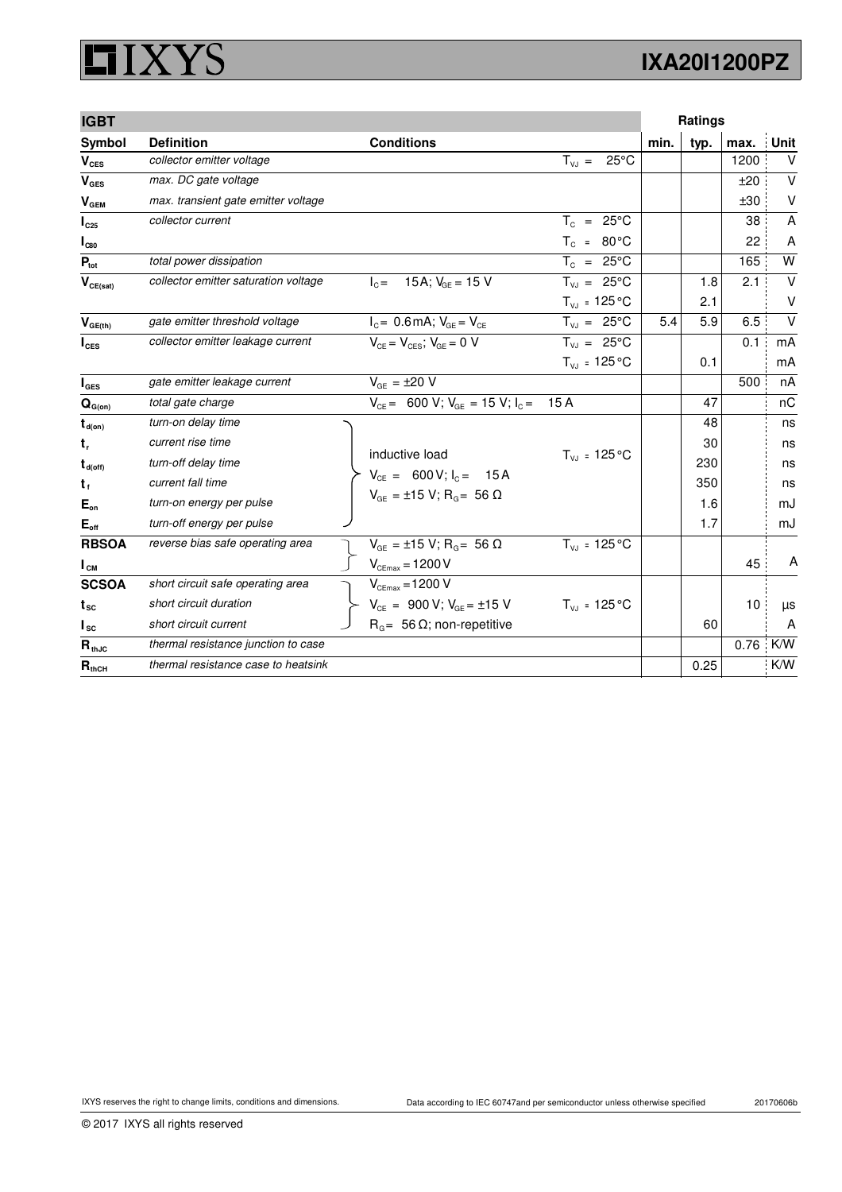## **XYS** Ľ

| <b>IGBT</b>                      |                                      |                                             |                              |      | <b>Ratings</b> |      |             |
|----------------------------------|--------------------------------------|---------------------------------------------|------------------------------|------|----------------|------|-------------|
| Symbol                           | <b>Definition</b>                    | <b>Conditions</b>                           |                              | min. | typ.           | max. | Unit        |
| $V_{\text{CES}}$                 | collector emitter voltage            |                                             | $T_{VJ}$ =<br>$25^{\circ}$ C |      |                | 1200 | $\vee$      |
| V <sub>GES</sub>                 | max. DC gate voltage                 |                                             |                              |      |                | ±20  | $\vee$      |
| $\bm{{\mathsf{V}}}_\mathsf{GEM}$ | max. transient gate emitter voltage  |                                             |                              |      |                | ±30  | $\vee$      |
| $I_{C25}$                        | collector current                    |                                             | $T_c = 25^{\circ}$ C         |      |                | 38   | A           |
| $\mathsf{I}_{\text{C80}}$        |                                      |                                             | $T_c = 80^{\circ}$ C         |      |                | 22   | A           |
| $P_{\text{tot}}$                 | total power dissipation              |                                             | $T_c = 25^{\circ}$ C         |      |                | 165  | W           |
| $V_{CE(sat)}$                    | collector emitter saturation voltage | $I_{C} = 15A$ ; $V_{GF} = 15V$              | $T_{V,I} = 25^{\circ}C$      |      | 1.8            | 2.1  | $\mathsf V$ |
|                                  |                                      |                                             | $T_{VJ} = 125 °C$            |      | 2.1            |      | V           |
| $\bm{V}_{GE(th)}$                | gate emitter threshold voltage       | $I_{C} = 0.6$ mA; $V_{GE} = V_{CE}$         | $T_{VJ} = 25^{\circ}C$       | 5.4  | 5.9            | 6.5  | $\vee$      |
| $I_{\text{CES}}$                 | collector emitter leakage current    | $V_{CF} = V_{CFSS}$ ; $V_{GF} = 0$ V        | $T_{V,1} = 25^{\circ}C$      |      |                | 0.1  | mA          |
|                                  |                                      |                                             | $T_{VJ}$ = 125 °C            |      | 0.1            |      | mA          |
| $I_{\texttt{GES}}$               | gate emitter leakage current         | $V_{GF} = \pm 20 V$                         |                              |      |                | 500  | nA          |
| $\mathbf{Q}_{\text{G(on)}}$      | total gate charge                    | $V_{CE}$ = 600 V; $V_{GE}$ = 15 V; $I_C$ =  | 15A                          |      | 47             |      | nC          |
| $t_{d(on)}$                      | turn-on delay time                   |                                             |                              |      | 48             |      | ns          |
| $t_{r}$                          | current rise time                    |                                             |                              |      | 30             |      | ns          |
| $t_{d(\text{off})}$              | turn-off delay time                  | inductive load                              | $T_{VJ}$ = 125 °C            |      | 230            |      | ns          |
| $t_{f}$                          | current fall time                    | $V_{CE} = 600 V; I_C = 15 A$                |                              |      | 350            |      | ns          |
| $E_{on}$                         | turn-on energy per pulse             | $V_{GE} = \pm 15 V$ ; R <sub>G</sub> = 56 Ω |                              |      | 1.6            |      | mJ          |
| $E_{\text{off}}$                 | turn-off energy per pulse            |                                             |                              |      | 1.7            |      | mJ          |
| <b>RBSOA</b>                     | reverse bias safe operating area     | $V_{GE}$ = ±15 V; R <sub>G</sub> = 56 Ω     | $T_{VJ}$ = 125 °C            |      |                |      |             |
| $I_{\text{CM}}$                  |                                      | $V_{CEmax}$ = 1200 V                        |                              |      |                | 45   | Α           |
| <b>SCSOA</b>                     | short circuit safe operating area    | $V_{CEmax}$ = 1200 V                        |                              |      |                |      |             |
| t <sub>sc</sub>                  | short circuit duration               | $V_{CE}$ = 900 V; $V_{GE}$ = ±15 V          | $T_{VJ}$ = 125 °C            |      |                | 10   | $\mu s$     |
| $I_{\rm sc}$                     | short circuit current                | $R_{\alpha}$ = 56 $\Omega$ ; non-repetitive |                              |      | 60             |      | A           |
| $R_{thJC}$                       | thermal resistance junction to case  |                                             |                              |      |                | 0.76 | K/W         |
| $R_{thCH}$                       | thermal resistance case to heatsink  |                                             |                              |      | 0.25           |      | K/W         |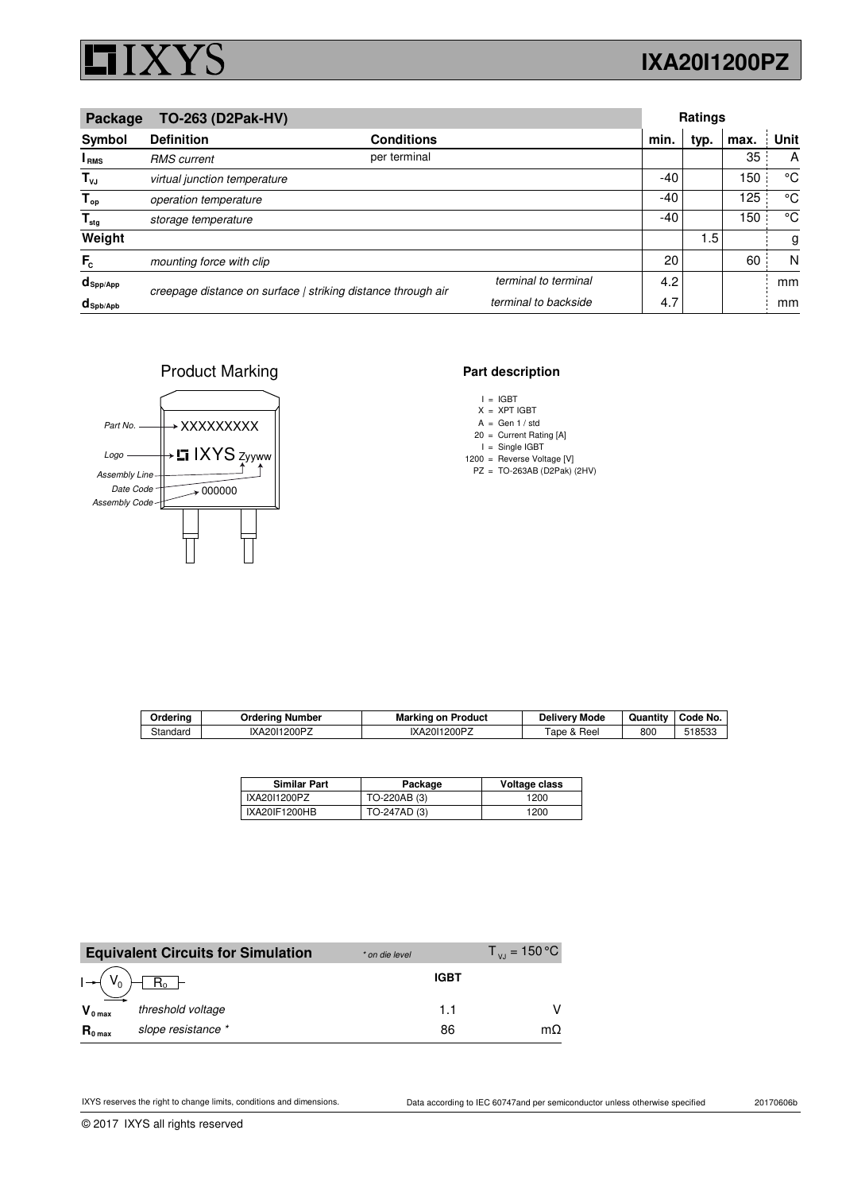

# **IXA20I1200PZ**

| TO-263 (D2Pak-HV)<br>Package      |                                                              |                   |                      | <b>Ratings</b> |      |      |      |
|-----------------------------------|--------------------------------------------------------------|-------------------|----------------------|----------------|------|------|------|
| Symbol                            | <b>Definition</b>                                            | <b>Conditions</b> |                      | min.           | typ. | max. | Unit |
| <sup>I</sup> <sub>RMS</sub>       | <b>RMS</b> current                                           | per terminal      |                      |                |      | 35   | A    |
| $T_{\nu J}$                       | virtual junction temperature                                 |                   |                      | -40            |      | 150  | °C   |
| $T_{op}$                          | operation temperature                                        |                   |                      | $-40$          |      | 125  | °C   |
| $T_{\text{stg}}$                  | storage temperature                                          |                   |                      | $-40$          |      | 150  | °C   |
| Weight                            |                                                              |                   |                      |                | 1.5  |      | g    |
| $F_c$                             | mounting force with clip                                     |                   |                      | 20             |      | 60   | N    |
| $d_{\mathsf{Spp/App}}$            | creepage distance on surface   striking distance through air |                   | terminal to terminal | 4.2            |      |      | mm   |
| $d_{\mathsf{Spb} / \mathsf{Apb}}$ |                                                              |                   | terminal to backside | 4.7            |      |      | mm   |

### Product Marking



### **Part description**

X XPT IGBT =

A Gen 1 / std =

20 = Current Rating [A]

I Single IGBT 1200 = Reverse Voltage [V] =

PZ TO-263AB (D2Pak) (2HV) =

| Orderina | <b>Ordering Number</b> | <b>Marking on Product</b> | <b>Delivery Mode</b> | Quantity | Code No. |
|----------|------------------------|---------------------------|----------------------|----------|----------|
| Standard | IXA2011200PZ           | IXA2011200PZ              | Tape & Reel          | 800      | 518533   |

| <b>Similar Part</b> | Package      | Voltage class |
|---------------------|--------------|---------------|
| IXA2011200PZ        | TO-220AB (3) | 1200          |
| IXA20IF1200HB       | TO-247AD (3) | 1200          |

|                     | <b>Equivalent Circuits for Simulation</b> | * on die level | $T_{\text{VI}}$ = 150 °C |
|---------------------|-------------------------------------------|----------------|--------------------------|
|                     | $R_{o}$                                   | <b>IGBT</b>    |                          |
| $V_{0 \text{ max}}$ | threshold voltage                         | 11             |                          |
| $R_{0 \text{ max}}$ | slope resistance *                        | 86             | mΩ                       |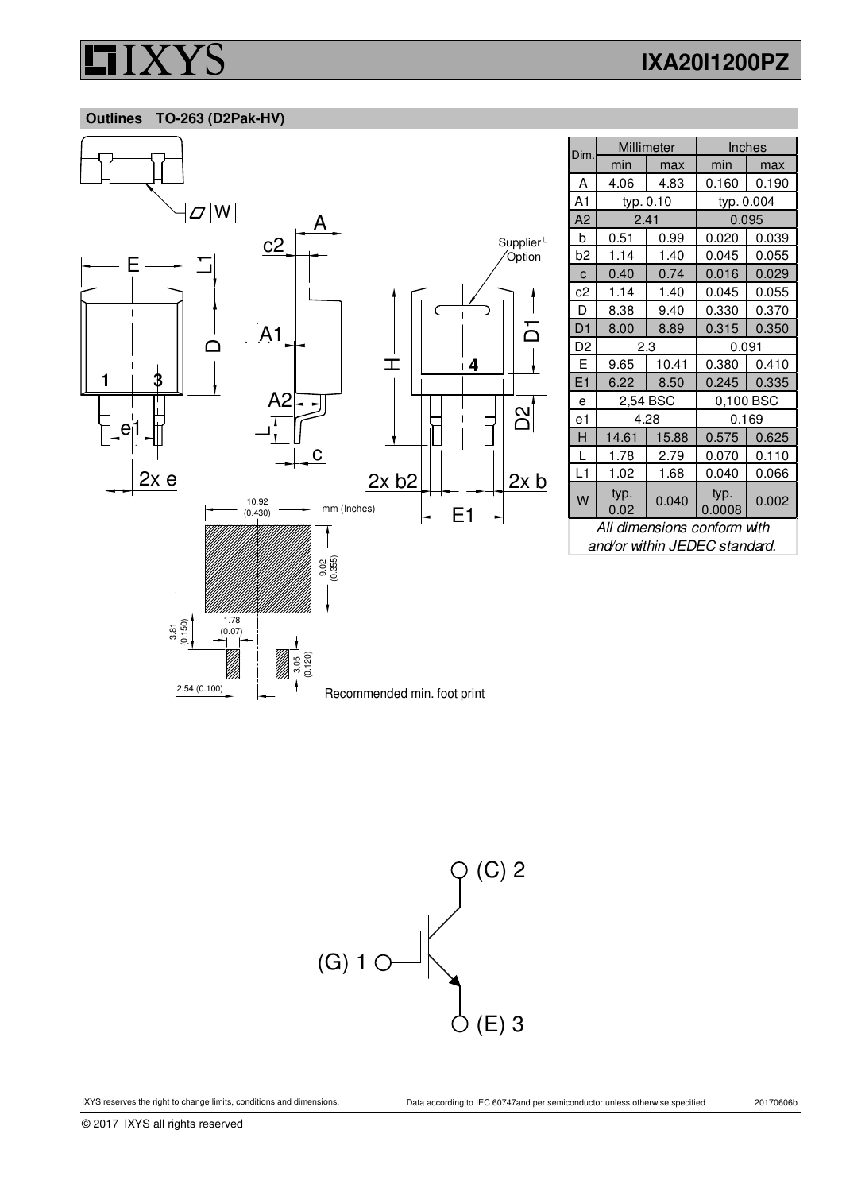# **IXA20I1200PZ**

 **Outlines TO-263 (D2Pak-HV)**



| Dim.           | Millimeter   |           | Inches         |           |  |
|----------------|--------------|-----------|----------------|-----------|--|
|                | min          | max       | min            | max       |  |
| A              | 4.06         | 4.83      | 0.160          | 0.190     |  |
| A1             |              | typ. 0.10 | typ. 0.004     |           |  |
| A <sub>2</sub> | 2.41         |           | 0.095          |           |  |
| b              | 0.51         | 0.99      | 0.020          | 0.039     |  |
| b <sub>2</sub> | 1.14         | 1.40      | 0.045          | 0.055     |  |
| C              | 0.40         | 0.74      | 0.016          | 0.029     |  |
| c2             | 1.14         | 1.40      | 0.045          | 0.055     |  |
| D              | 8.38         | 9.40      | 0.330          | 0.370     |  |
| D1             | 8.00         | 8.89      | 0.315          | 0.350     |  |
| D <sub>2</sub> | 2.3          |           | 0.091          |           |  |
| E              | 9.65         | 10.41     | 0.380          | 0.410     |  |
| E1             | 6.22         | 8.50      | 0.245          | 0.335     |  |
| e              |              | 2,54 BSC  |                | 0,100 BSC |  |
| e1             |              | 4.28      | 0.169          |           |  |
| н              | 14.61        | 15.88     | 0.575          | 0.625     |  |
| L              | 1.78         | 2.79      | 0.070          | 0.110     |  |
| L1             | 1.02         | 1.68      | 0.040          | 0.066     |  |
| W              | typ.<br>0.02 | 0.040     | typ.<br>0.0008 | 0.002     |  |

All dimensions conform with and/or within JEDEC standard.